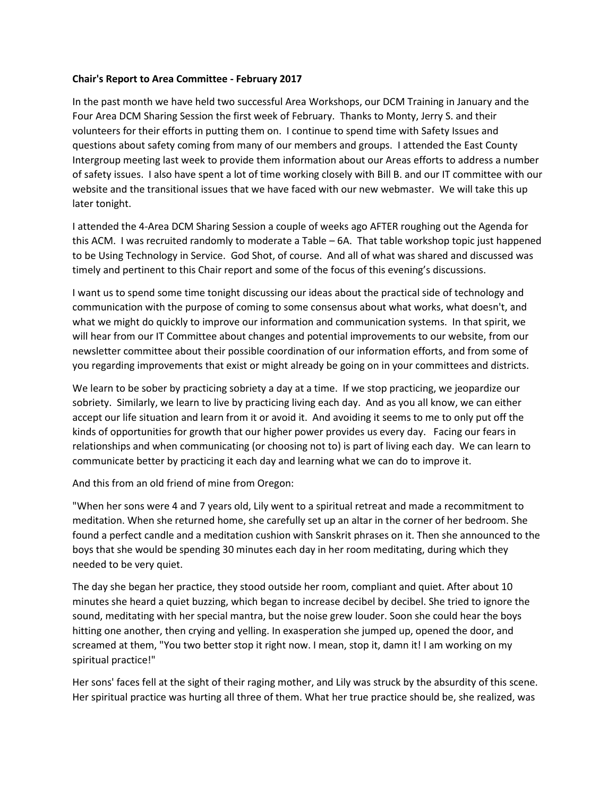## **Chair's Report to Area Committee - February 2017**

In the past month we have held two successful Area Workshops, our DCM Training in January and the Four Area DCM Sharing Session the first week of February. Thanks to Monty, Jerry S. and their volunteers for their efforts in putting them on. I continue to spend time with Safety Issues and questions about safety coming from many of our members and groups. I attended the East County Intergroup meeting last week to provide them information about our Areas efforts to address a number of safety issues. I also have spent a lot of time working closely with Bill B. and our IT committee with our website and the transitional issues that we have faced with our new webmaster. We will take this up later tonight.

I attended the 4-Area DCM Sharing Session a couple of weeks ago AFTER roughing out the Agenda for this ACM. I was recruited randomly to moderate a Table – 6A. That table workshop topic just happened to be Using Technology in Service. God Shot, of course. And all of what was shared and discussed was timely and pertinent to this Chair report and some of the focus of this evening's discussions.

I want us to spend some time tonight discussing our ideas about the practical side of technology and communication with the purpose of coming to some consensus about what works, what doesn't, and what we might do quickly to improve our information and communication systems. In that spirit, we will hear from our IT Committee about changes and potential improvements to our website, from our newsletter committee about their possible coordination of our information efforts, and from some of you regarding improvements that exist or might already be going on in your committees and districts.

We learn to be sober by practicing sobriety a day at a time. If we stop practicing, we jeopardize our sobriety. Similarly, we learn to live by practicing living each day. And as you all know, we can either accept our life situation and learn from it or avoid it. And avoiding it seems to me to only put off the kinds of opportunities for growth that our higher power provides us every day. Facing our fears in relationships and when communicating (or choosing not to) is part of living each day. We can learn to communicate better by practicing it each day and learning what we can do to improve it.

And this from an old friend of mine from Oregon:

"When her sons were 4 and 7 years old, Lily went to a spiritual retreat and made a recommitment to meditation. When she returned home, she carefully set up an altar in the corner of her bedroom. She found a perfect candle and a meditation cushion with Sanskrit phrases on it. Then she announced to the boys that she would be spending 30 minutes each day in her room meditating, during which they needed to be very quiet.

The day she began her practice, they stood outside her room, compliant and quiet. After about 10 minutes she heard a quiet buzzing, which began to increase decibel by decibel. She tried to ignore the sound, meditating with her special mantra, but the noise grew louder. Soon she could hear the boys hitting one another, then crying and yelling. In exasperation she jumped up, opened the door, and screamed at them, "You two better stop it right now. I mean, stop it, damn it! I am working on my spiritual practice!"

Her sons' faces fell at the sight of their raging mother, and Lily was struck by the absurdity of this scene. Her spiritual practice was hurting all three of them. What her true practice should be, she realized, was